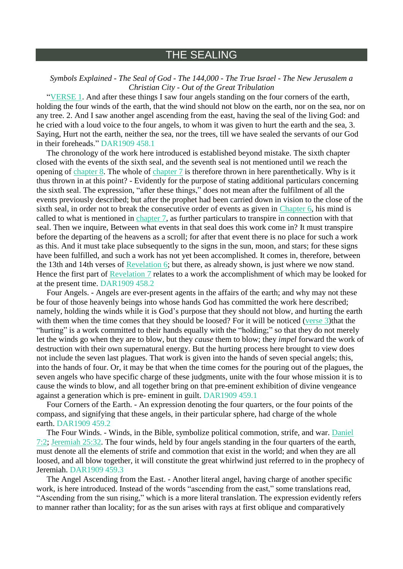## THE SEALING

## *Symbols Explained - The Seal of God - The 144,000 - The True Israel - The New Jerusalem a Christian City - Out of the Great Tribulation*

["VERSE](https://m.egwwritings.org/en/book/1965.62865#62865) 1. And after these things I saw four angels standing on the four corners of the earth, holding the four winds of the earth, that the wind should not blow on the earth, nor on the sea, nor on any tree. 2. And I saw another angel ascending from the east, having the seal of the living God: and he cried with a loud voice to the four angels, to whom it was given to hurt the earth and the sea, 3. Saying, Hurt not the earth, neither the sea, nor the trees, till we have sealed the servants of our God in their foreheads." DAR1909 458.1

The chronology of the work here introduced is established beyond mistake. The sixth chapter closed with the events of the sixth seal, and the seventh seal is not mentioned until we reach the opening of [chapter](https://m.egwwritings.org/en/book/1965.62900#62900) 8. The whole of [chapter](https://m.egwwritings.org/en/book/1965.62865#62865) 7 is therefore thrown in here parenthetically. Why is it thus thrown in at this point? - Evidently for the purpose of stating additional particulars concerning the sixth seal. The expression, "after these things," does not mean after the fulfilment of all the events previously described; but after the prophet had been carried down in vision to the close of the sixth seal, in order not to break the consecutive order of events as given in [Chapter](https://m.egwwritings.org/en/book/1965.62830#62830) 6, his mind is called to what is mentioned in [chapter](https://m.egwwritings.org/en/book/1965.62865#62865) 7, as further particulars to transpire in connection with that seal. Then we inquire, Between what events in that seal does this work come in? It must transpire before the departing of the heavens as a scroll; for after that event there is no place for such a work as this. And it must take place subsequently to the signs in the sun, moon, and stars; for these signs have been fulfilled, and such a work has not yet been accomplished. It comes in, therefore, between the 13th and 14th verses of [Revelation](https://m.egwwritings.org/en/book/1965.62830#62830) 6; but there, as already shown, is just where we now stand. Hence the first part of [Revelation](https://m.egwwritings.org/en/book/1965.62865#62865) 7 relates to a work the accomplishment of which may be looked for at the present time. DAR1909 458.2

Four Angels. - Angels are ever-present agents in the affairs of the earth; and why may not these be four of those heavenly beings into whose hands God has committed the work here described; namely, holding the winds while it is God's purpose that they should not blow, and hurting the earth with them when the time comes that they should be loosed? For it will be noticed [\(verse](https://m.egwwritings.org/en/book/1965.62869#62869) 3)that the "hurting" is a work committed to their hands equally with the "holding;" so that they do not merely let the winds go when they are to blow, but they *cause* them to blow; they *impel* forward the work of destruction with their own supernatural energy. But the hurting process here brought to view does not include the seven last plagues. That work is given into the hands of seven special angels; this, into the hands of four. Or, it may be that when the time comes for the pouring out of the plagues, the seven angels who have specific charge of these judgments, unite with the four whose mission it is to cause the winds to blow, and all together bring on that pre-eminent exhibition of divine vengeance against a generation which is pre- eminent in guilt. DAR1909 459.1

Four Corners of the Earth. - An expression denoting the four quarters, or the four points of the compass, and signifying that these angels, in their particular sphere, had charge of the whole earth. DAR1909 459.2

The Four Winds. - Winds, in the Bible, symbolize political commotion, strife, and war. [Daniel](https://m.egwwritings.org/en/book/1965.44757#44757) [7:2;](https://m.egwwritings.org/en/book/1965.44757#44757) [Jeremiah](https://m.egwwritings.org/en/book/1965.39929#39929) 25:32. The four winds, held by four angels standing in the four quarters of the earth, must denote all the elements of strife and commotion that exist in the world; and when they are all loosed, and all blow together, it will constitute the great whirlwind just referred to in the prophecy of Jeremiah. DAR1909 459.3

The Angel Ascending from the East. - Another literal angel, having charge of another specific work, is here introduced. Instead of the words "ascending from the east," some translations read, "Ascending from the sun rising," which is a more literal translation. The expression evidently refers to manner rather than locality; for as the sun arises with rays at first oblique and comparatively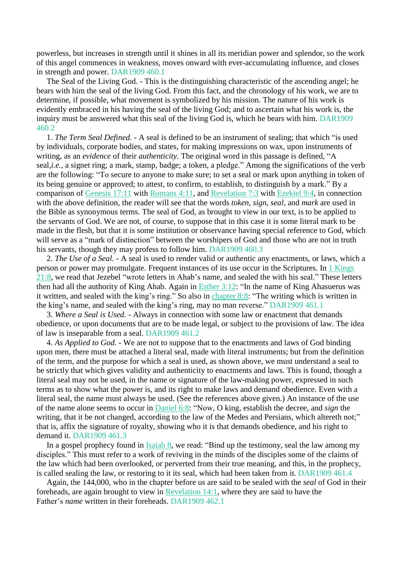powerless, but increases in strength until it shines in all its meridian power and splendor, so the work of this angel commences in weakness, moves onward with ever-accumulating influence, and closes in strength and power. DAR1909 460.1

The Seal of the Living God. - This is the distinguishing characteristic of the ascending angel; he bears with him the seal of the living God. From this fact, and the chronology of his work, we are to determine, if possible, what movement is symbolized by his mission. The nature of his work is evidently embraced in his having the seal of the living God; and to ascertain what his work is, the inquiry must be answered what this seal of the living God is, which he bears with him. DAR1909 460.2

1. *The Term Seal Defined.* - A seal is defined to be an instrument of sealing; that which "is used by individuals, corporate bodies, and states, for making impressions on wax, upon instruments of writing, as an *evidence* of their *authenticity.* The original word in this passage is defined, "A seal,*i.e.*, a signet ring; a mark, stamp, badge; a token, a pledge." Among the significations of the verb are the following: "To secure to anyone to make sure; to set a seal or mark upon anything in token of its being genuine or approved; to attest, to confirm, to establish, to distinguish by a mark." By a comparison of [Genesis](https://m.egwwritings.org/en/book/1965.837#837) 17:11 with [Romans](https://m.egwwritings.org/en/book/1965.57164#57164) 4:11, and [Revelation](https://m.egwwritings.org/en/book/1965.62869#62869) 7:3 with [Ezekiel](https://m.egwwritings.org/en/book/1965.42092#42092) 9:4, in connection with the above definition, the reader will see that the words *token, sign, seal,* and *mark* are used in the Bible as synonymous terms. The seal of God, as brought to view in our text, is to be applied to the servants of God. We are not, of course, to suppose that in this case it is some literal mark to be made in the flesh, but that it is some institution or observance having special reference to God, which will serve as a "mark of distinction" between the worshipers of God and those who are not in truth his servants, though they may profess to follow him. DAR1909 460.3

2. *The Use of a Seal.* - A seal is used to render valid or authentic any enactments, or laws, which a person or power may promulgate. Frequent instances of its use occur in the Scriptures. In 1 [Kings](https://m.egwwritings.org/en/book/1965.19244#19244) [21:8,](https://m.egwwritings.org/en/book/1965.19244#19244) we read that Jezebel "wrote letters in Ahab's name, and sealed the with his seal." These letters then had all the authority of King Ahab. Again in [Esther](https://m.egwwritings.org/en/book/1965.25967#25967) 3:12: "In the name of King Ahasuerus was it written, and sealed with the king's ring." So also in [chapter](https://m.egwwritings.org/en/book/1965.26104#26104) 8:8: "The writing which is written in the king's name, and sealed with the king's ring, may no man reverse." DAR1909 461.1

3. *Where a Seal is Used.* - Always in connection with some law or enactment that demands obedience, or upon documents that are to be made legal, or subject to the provisions of law. The idea of law is inseparable from a seal. DAR1909 461.2

4. *As Applied to God.* - We are not to suppose that to the enactments and laws of God binding upon men, there must be attached a literal seal, made with literal instruments; but from the definition of the term, and the purpose for which a seal is used, as shown above, we must understand a seal to be strictly that which gives validity and authenticity to enactments and laws. This is found, though a literal seal may not be used, in the name or signature of the law-making power, expressed in such terms as to show what the power is, and its right to make laws and demand obedience. Even with a literal seal, the name must always be used. (See the references above given.) An instance of the use of the name alone seems to occur in [Daniel](https://m.egwwritings.org/en/book/1965.44712#44712) 6:8: "Now, O king, establish the decree, and *sign* the writing, that it be not changed, according to the law of the Medes and Persians, which altereth not;" that is, affix the signature of royalty, showing who it is that demands obedience, and his right to demand it. DAR1909 461.3

In a gospel prophecy found in [Isaiah](https://m.egwwritings.org/en/book/1965.36329#36329) 8, we read: "Bind up the testimony, seal the law among my disciples." This must refer to a work of reviving in the minds of the disciples some of the claims of the law which had been overlooked, or perverted from their true meaning, and this, in the prophecy, is called sealing the law, or restoring to it its seal, which had been taken from it. DAR1909 461.4

Again, the 144,000, who in the chapter before us are said to be sealed with the *seal* of God in their foreheads, are again brought to view in [Revelation](https://m.egwwritings.org/en/book/1965.63104#63104) 14:1, where they are said to have the Father's *name* written in their foreheads. DAR1909 462.1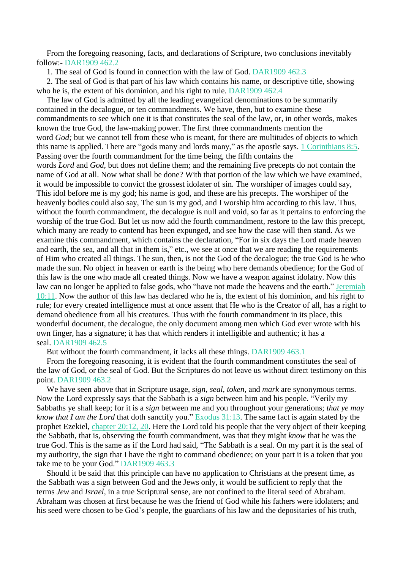From the foregoing reasoning, facts, and declarations of Scripture, two conclusions inevitably follow:- DAR1909 462.2

1. The seal of God is found in connection with the law of God. DAR1909 462.3

2. The seal of God is that part of his law which contains his name, or descriptive title, showing who he is, the extent of his dominion, and his right to rule. DAR1909 462.4

The law of God is admitted by all the leading evangelical denominations to be summarily contained in the decalogue, or ten commandments. We have, then, but to examine these commandments to see which one it is that constitutes the seal of the law, or, in other words, makes known the true God, the law-making power. The first three commandments mention the word *God*; but we cannot tell from these who is meant, for there are multitudes of objects to which this name is applied. There are "gods many and lords many," as the apostle says. 1 [Corinthians](https://m.egwwritings.org/en/book/1965.58183#58183) 8:5. Passing over the fourth commandment for the time being, the fifth contains the words *Lord* and *God,* but does not define them; and the remaining five precepts do not contain the name of God at all. Now what shall be done? With that portion of the law which we have examined, it would be impossible to convict the grossest idolater of sin. The worshiper of images could say, This idol before me is my god; his name is god, and these are his precepts. The worshiper of the heavenly bodies could also say, The sun is my god, and I worship him according to this law. Thus, without the fourth commandment, the decalogue is null and void, so far as it pertains to enforcing the worship of the true God. But let us now add the fourth commandment, restore to the law this precept, which many are ready to contend has been expunged, and see how the case will then stand. As we examine this commandment, which contains the declaration, "For in six days the Lord made heaven and earth, the sea, and all that in them is," etc., we see at once that we are reading the requirements of Him who created all things. The sun, then, is not the God of the decalogue; the true God is he who made the sun. No object in heaven or earth is the being who here demands obedience; for the God of this law is the one who made all created things. Now we have a weapon against idolatry. Now this law can no longer be applied to false gods, who "have not made the heavens and the earth." [Jeremiah](https://m.egwwritings.org/en/book/1965.39206#39206) [10:11.](https://m.egwwritings.org/en/book/1965.39206#39206) Now the author of this law has declared who he is, the extent of his dominion, and his right to rule; for every created intelligence must at once assent that He who is the Creator of all, has a right to demand obedience from all his creatures. Thus with the fourth commandment in its place, this wonderful document, the decalogue, the only document among men which God ever wrote with his own finger, has a signature; it has that which renders it intelligible and authentic; it has a seal. DAR1909 462.5

But without the fourth commandment, it lacks all these things. DAR1909 463.1

From the foregoing reasoning, it is evident that the fourth commandment constitutes the seal of the law of God, or the seal of God. But the Scriptures do not leave us without direct testimony on this point. DAR1909 463.2

We have seen above that in Scripture usage, *sign, seal, token,* and *mark* are synonymous terms. Now the Lord expressly says that the Sabbath is a *sign* between him and his people. "Verily my Sabbaths ye shall keep; for it is a *sign* between me and you throughout your generations; *that ye may know that I am the Lord* that doth sanctify you." [Exodus](https://m.egwwritings.org/en/book/1965.4952#4952) 31:13. The same fact is again stated by the prophet Ezekiel, [chapter](https://m.egwwritings.org/en/book/1965.42665#42665) 20:12, 20. Here the Lord told his people that the very object of their keeping the Sabbath, that is, observing the fourth commandment, was that they might *know* that he was the true God. This is the same as if the Lord had said, "The Sabbath is a seal. On my part it is the seal of my authority, the sign that I have the right to command obedience; on your part it is a token that you take me to be your God." DAR1909 463.3

Should it be said that this principle can have no application to Christians at the present time, as the Sabbath was a sign between God and the Jews only, it would be sufficient to reply that the terms *Jew* and *Israel,* in a true Scriptural sense, are not confined to the literal seed of Abraham. Abraham was chosen at first because he was the friend of God while his fathers were idolaters; and his seed were chosen to be God's people, the guardians of his law and the depositaries of his truth,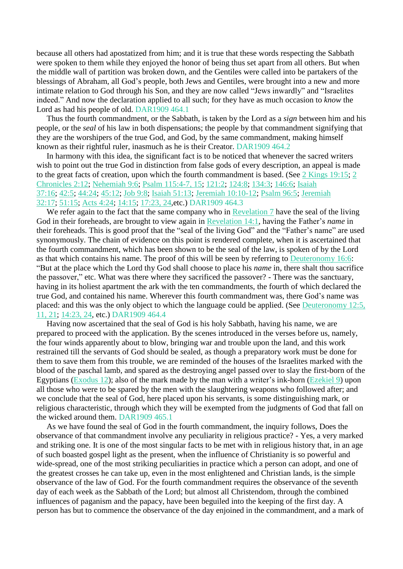because all others had apostatized from him; and it is true that these words respecting the Sabbath were spoken to them while they enjoyed the honor of being thus set apart from all others. But when the middle wall of partition was broken down, and the Gentiles were called into be partakers of the blessings of Abraham, all God's people, both Jews and Gentiles, were brought into a new and more intimate relation to God through his Son, and they are now called "Jews inwardly" and "Israelites indeed." And now the declaration applied to all such; for they have as much occasion to *know* the Lord as had his people of old. DAR1909 464.1

Thus the fourth commandment, or the Sabbath, is taken by the Lord as a *sign* between him and his people, or the *seal* of his law in both dispensations; the people by that commandment signifying that they are the worshipers of the true God, and God, by the same commandment, making himself known as their rightful ruler, inasmuch as he is their Creator. DAR1909 464.2

In harmony with this idea, the significant fact is to be noticed that whenever the sacred writers wish to point out the true God in distinction from false gods of every description, an appeal is made to the great facts of creation, upon which the fourth commandment is based. (See 2 Kings [19:15;](https://m.egwwritings.org/en/book/1965.20499#20499) [2](https://m.egwwritings.org/en/book/1965.22832#22832) [Chronicles](https://m.egwwritings.org/en/book/1965.22832#22832) 2:12; [Nehemiah](https://m.egwwritings.org/en/book/1965.25475#25475) 9:6; Psalm [115:4-7,](https://m.egwwritings.org/en/book/1965.32283#32283) 15; [121:2;](https://m.egwwritings.org/en/book/1965.32787#32787) [124:8;](https://m.egwwritings.org/en/book/1965.32844#32844) [134:3;](https://m.egwwritings.org/en/book/1965.32984#32984) [146:6;](https://m.egwwritings.org/en/book/1965.33340#33340) [Isaiah](https://m.egwwritings.org/en/book/1965.37478#37478) [37:16;](https://m.egwwritings.org/en/book/1965.37478#37478) [42:5;](https://m.egwwritings.org/en/book/1965.37717#37717) [44:24;](https://m.egwwritings.org/en/book/1965.37863#37863) [45:12;](https://m.egwwritings.org/en/book/1965.37896#37896) Job [9:8;](https://m.egwwritings.org/en/book/1965.26584#26584) Isaiah [51:13;](https://m.egwwritings.org/en/book/1965.38128#38128) Jeremiah [10:10-12;](https://m.egwwritings.org/en/book/1965.39204#39204) [Psalm](https://m.egwwritings.org/en/book/1965.31536#31536) 96:5; [Jeremiah](https://m.egwwritings.org/en/book/1965.40300#40300) [32:17;](https://m.egwwritings.org/en/book/1965.40300#40300) [51:15;](https://m.egwwritings.org/en/book/1965.41277#41277) Acts [4:24;](https://m.egwwritings.org/en/book/1965.55161#55161) [14:15;](https://m.egwwritings.org/en/book/1965.55937#55937) [17:23,](https://m.egwwritings.org/en/book/1965.56174#56174) 24,etc.) DAR1909 464.3

We refer again to the fact that the same company who in [Revelation](https://m.egwwritings.org/en/book/1965.62865#62865) 7 have the seal of the living God in their foreheads, are brought to view again in [Revelation](https://m.egwwritings.org/en/book/1965.63104#63104) 14:1, having the Father's *name* in their foreheads. This is good proof that the "seal of the living God" and the "Father's name" are used synonymously. The chain of evidence on this point is rendered complete, when it is ascertained that the fourth commandment, which has been shown to be the seal of the law, is spoken of by the Lord as that which contains his name. The proof of this will be seen by referring to [Deuteronomy](https://m.egwwritings.org/en/book/1965.10873#10873) 16:6: "But at the place which the Lord thy God shall choose to place his *name* in, there shalt thou sacrifice the passover," etc. What was there where they sacrificed the passover? - There was the sanctuary, having in its holiest apartment the ark with the ten commandments, the fourth of which declared the true God, and contained his name. Wherever this fourth commandment was, there God's name was placed: and this was the only object to which the language could be applied. (See [Deuteronomy](https://m.egwwritings.org/en/book/1965.10663#10663) 12:5, [11,](https://m.egwwritings.org/en/book/1965.10663#10663) 21; [14:23,](https://m.egwwritings.org/en/book/1965.10801#10801) 24, etc.) DAR1909 464.4

Having now ascertained that the seal of God is his holy Sabbath, having his name, we are prepared to proceed with the application. By the scenes introduced in the verses before us, namely, the four winds apparently about to blow, bringing war and trouble upon the land, and this work restrained till the servants of God should be sealed, as though a preparatory work must be done for them to save them from this trouble, we are reminded of the houses of the Israelites marked with the blood of the paschal lamb, and spared as the destroying angel passed over to slay the first-born of the Egyptians [\(Exodus](https://m.egwwritings.org/en/book/1965.3701#3701) 12); also of the mark made by the man with a writer's ink-horn [\(Ezekiel](https://m.egwwritings.org/en/book/1965.42086#42086) 9) upon all those who were to be spared by the men with the slaughtering weapons who followed after; and we conclude that the seal of God, here placed upon his servants, is some distinguishing mark, or religious characteristic, through which they will be exempted from the judgments of God that fall on the wicked around them. DAR1909 465.1

As we have found the seal of God in the fourth commandment, the inquiry follows, Does the observance of that commandment involve any peculiarity in religious practice? - Yes, a very marked and striking one. It is one of the most singular facts to be met with in religious history that, in an age of such boasted gospel light as the present, when the influence of Christianity is so powerful and wide-spread, one of the most striking peculiarities in practice which a person can adopt, and one of the greatest crosses he can take up, even in the most enlightened and Christian lands, is the simple observance of the law of God. For the fourth commandment requires the observance of the seventh day of each week as the Sabbath of the Lord; but almost all Christendom, through the combined influences of paganism and the papacy, have been beguiled into the keeping of the first day. A person has but to commence the observance of the day enjoined in the commandment, and a mark of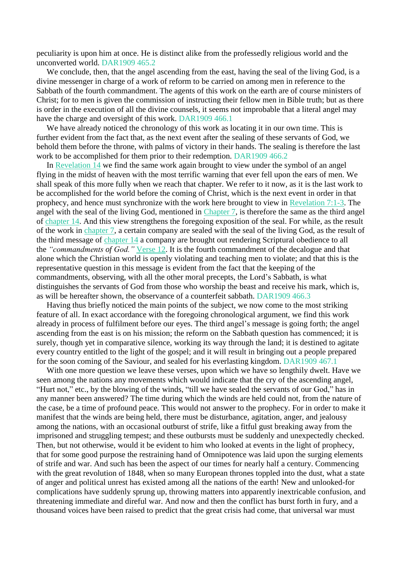peculiarity is upon him at once. He is distinct alike from the professedly religious world and the unconverted world. DAR1909 465.2

We conclude, then, that the angel ascending from the east, having the seal of the living God, is a divine messenger in charge of a work of reform to be carried on among men in reference to the Sabbath of the fourth commandment. The agents of this work on the earth are of course ministers of Christ; for to men is given the commission of instructing their fellow men in Bible truth; but as there is order in the execution of all the divine counsels, it seems not improbable that a literal angel may have the charge and oversight of this work. DAR1909 466.1

We have already noticed the chronology of this work as locating it in our own time. This is further evident from the fact that, as the next event after the sealing of these servants of God, we behold them before the throne, with palms of victory in their hands. The sealing is therefore the last work to be accomplished for them prior to their redemption. DAR1909 466.2

In [Revelation](https://m.egwwritings.org/en/book/1965.63104#63104) 14 we find the same work again brought to view under the symbol of an angel flying in the midst of heaven with the most terrific warning that ever fell upon the ears of men. We shall speak of this more fully when we reach that chapter. We refer to it now, as it is the last work to be accomplished for the world before the coming of Christ, which is the next event in order in that prophecy, and hence must synchronize with the work here brought to view in [Revelation](https://m.egwwritings.org/en/book/1965.62865#62865) 7:1-3. The angel with the seal of the living God, mentioned in [Chapter](https://m.egwwritings.org/en/book/1965.62865#62865) 7, is therefore the same as the third angel of [chapter](https://m.egwwritings.org/en/book/1965.63104#63104) 14. And this view strengthens the foregoing exposition of the seal. For while, as the result of the work in [chapter](https://m.egwwritings.org/en/book/1965.62865#62865) 7, a certain company are sealed with the seal of the living God, as the result of the third message of [chapter](https://m.egwwritings.org/en/book/1965.63104#63104) 14 a company are brought out rendering Scriptural obedience to all the *"commandments of God."* [Verse](https://m.egwwritings.org/en/book/1965.63126#63126) 12. It is the fourth commandment of the decalogue and that alone which the Christian world is openly violating and teaching men to violate; and that this is the representative question in this message is evident from the fact that the keeping of the commandments, observing, with all the other moral precepts, the Lord's Sabbath, is what distinguishes the servants of God from those who worship the beast and receive his mark, which is, as will be hereafter shown, the observance of a counterfeit sabbath. DAR1909 466.3

Having thus briefly noticed the main points of the subject, we now come to the most striking feature of all. In exact accordance with the foregoing chronological argument, we find this work already in process of fulfilment before our eyes. The third angel's message is going forth; the angel ascending from the east is on his mission; the reform on the Sabbath question has commenced; it is surely, though yet in comparative silence, working its way through the land; it is destined to agitate every country entitled to the light of the gospel; and it will result in bringing out a people prepared for the soon coming of the Saviour, and sealed for his everlasting kingdom. DAR1909 467.1

With one more question we leave these verses, upon which we have so lengthily dwelt. Have we seen among the nations any movements which would indicate that the cry of the ascending angel, "Hurt not," etc., by the blowing of the winds, "till we have sealed the servants of our God," has in any manner been answered? The time during which the winds are held could not, from the nature of the case, be a time of profound peace. This would not answer to the prophecy. For in order to make it manifest that the winds are being held, there must be disturbance, agitation, anger, and jealousy among the nations, with an occasional outburst of strife, like a fitful gust breaking away from the imprisoned and struggling tempest; and these outbursts must be suddenly and unexpectedly checked. Then, but not otherwise, would it be evident to him who looked at events in the light of prophecy, that for some good purpose the restraining hand of Omnipotence was laid upon the surging elements of strife and war. And such has been the aspect of our times for nearly half a century. Commencing with the great revolution of 1848, when so many European thrones toppled into the dust, what a state of anger and political unrest has existed among all the nations of the earth! New and unlooked-for complications have suddenly sprung up, throwing matters into apparently inextricable confusion, and threatening immediate and direful war. And now and then the conflict has burst forth in fury, and a thousand voices have been raised to predict that the great crisis had come, that universal war must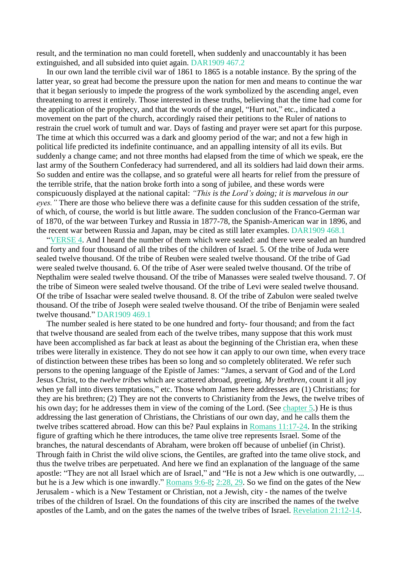result, and the termination no man could foretell, when suddenly and unaccountably it has been extinguished, and all subsided into quiet again. DAR1909 467.2

In our own land the terrible civil war of 1861 to 1865 is a notable instance. By the spring of the latter year, so great had become the pressure upon the nation for men and means to continue the war that it began seriously to impede the progress of the work symbolized by the ascending angel, even threatening to arrest it entirely. Those interested in these truths, believing that the time had come for the application of the prophecy, and that the words of the angel, "Hurt not," etc., indicated a movement on the part of the church, accordingly raised their petitions to the Ruler of nations to restrain the cruel work of tumult and war. Days of fasting and prayer were set apart for this purpose. The time at which this occurred was a dark and gloomy period of the war; and not a few high in political life predicted its indefinite continuance, and an appalling intensity of all its evils. But suddenly a change came; and not three months had elapsed from the time of which we speak, ere the last army of the Southern Confederacy had surrendered, and all its soldiers had laid down their arms. So sudden and entire was the collapse, and so grateful were all hearts for relief from the pressure of the terrible strife, that the nation broke forth into a song of jubilee, and these words were conspicuously displayed at the national capital: *"This is the Lord's doing; it is marvelous in our eyes."* There are those who believe there was a definite cause for this sudden cessation of the strife, of which, of course, the world is but little aware. The sudden conclusion of the Franco-German war of 1870, of the war between Turkey and Russia in 1877-78, the Spanish-American war in 1896, and the recent war between Russia and Japan, may be cited as still later examples. DAR1909 468.1

["VERSE](https://m.egwwritings.org/en/book/1965.62871#62871) 4. And I heard the number of them which were sealed: and there were sealed an hundred and forty and four thousand of all the tribes of the children of Israel. 5. Of the tribe of Juda were sealed twelve thousand. Of the tribe of Reuben were sealed twelve thousand. Of the tribe of Gad were sealed twelve thousand. 6. Of the tribe of Aser were sealed twelve thousand. Of the tribe of Nepthalim were sealed twelve thousand. Of the tribe of Manasses were sealed twelve thousand. 7. Of the tribe of Simeon were sealed twelve thousand. Of the tribe of Levi were sealed twelve thousand. Of the tribe of Issachar were sealed twelve thousand. 8. Of the tribe of Zabulon were sealed twelve thousand. Of the tribe of Joseph were sealed twelve thousand. Of the tribe of Benjamin were sealed twelve thousand." DAR1909 469.1

The number sealed is here stated to be one hundred and forty- four thousand; and from the fact that twelve thousand are sealed from each of the twelve tribes, many suppose that this work must have been accomplished as far back at least as about the beginning of the Christian era, when these tribes were literally in existence. They do not see how it can apply to our own time, when every trace of distinction between these tribes has been so long and so completely obliterated. We refer such persons to the opening language of the Epistle of James: "James, a servant of God and of the Lord Jesus Christ, to the *twelve tribes* which are scattered abroad, greeting. *My brethren,* count it all joy when ye fall into divers temptations," etc. Those whom James here addresses are (1) Christians; for they are his brethren; (2) They are not the converts to Christianity from the Jews, the twelve tribes of his own day; for he addresses them in view of the coming of the Lord. (See [chapter](https://m.egwwritings.org/en/book/1965.62801#62801) 5.) He is thus addressing the last generation of Christians, the Christians of our own day, and he calls them the twelve tribes scattered abroad. How can this be? Paul explains in Romans [11:17-24.](https://m.egwwritings.org/en/book/1965.57557#57557) In the striking figure of grafting which he there introduces, the tame olive tree represents Israel. Some of the branches, the natural descendants of Abraham, were broken off because of unbelief (in Christ). Through faith in Christ the wild olive scions, the Gentiles, are grafted into the tame olive stock, and thus the twelve tribes are perpetuated. And here we find an explanation of the language of the same apostle: "They are not all Israel which are of Israel," and "He is not a Jew which is one outwardly, ... but he is a Jew which is one inwardly." [Romans](https://m.egwwritings.org/en/book/1965.57425#57425) 9:6-8; [2:28,](https://m.egwwritings.org/en/book/1965.57076#57076) 29. So we find on the gates of the New Jerusalem - which is a New Testament or Christian, not a Jewish, city - the names of the twelve tribes of the children of Israel. On the foundations of this city are inscribed the names of the twelve apostles of the Lamb, and on the gates the names of the twelve tribes of Israel. [Revelation](https://m.egwwritings.org/en/book/1965.63387#63387) 21:12-14.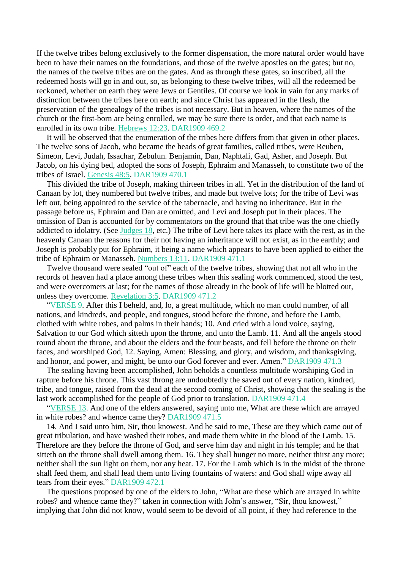If the twelve tribes belong exclusively to the former dispensation, the more natural order would have been to have their names on the foundations, and those of the twelve apostles on the gates; but no, the names of the twelve tribes are on the gates. And as through these gates, so inscribed, all the redeemed hosts will go in and out, so, as belonging to these twelve tribes, will all the redeemed be reckoned, whether on earth they were Jews or Gentiles. Of course we look in vain for any marks of distinction between the tribes here on earth; and since Christ has appeared in the flesh, the preservation of the genealogy of the tribes is not necessary. But in heaven, where the names of the church or the first-born are being enrolled, we may be sure there is order, and that each name is enrolled in its own tribe. [Hebrews](https://m.egwwritings.org/en/book/1965.61676#61676) 12:23. DAR1909 469.2

It will be observed that the enumeration of the tribes here differs from that given in other places. The twelve sons of Jacob, who became the heads of great families, called tribes, were Reuben, Simeon, Levi, Judah, Issachar, Zebulun. Benjamin, Dan, Naphtali, Gad, Asher, and Joseph. But Jacob, on his dying bed, adopted the sons of Joseph, Ephraim and Manasseh, to constitute two of the tribes of Israel. [Genesis](https://m.egwwritings.org/en/book/1965.2964#2964) 48:5. DAR1909 470.1

This divided the tribe of Joseph, making thirteen tribes in all. Yet in the distribution of the land of Canaan by lot, they numbered but twelve tribes, and made but twelve lots; for the tribe of Levi was left out, being appointed to the service of the tabernacle, and having no inheritance. But in the passage before us, Ephraim and Dan are omitted, and Levi and Joseph put in their places. The omission of Dan is accounted for by commentators on the ground that that tribe was the one chiefly addicted to idolatry. (See [Judges](https://m.egwwritings.org/en/book/1965.14227#14227) 18, etc.) The tribe of Levi here takes its place with the rest, as in the heavenly Canaan the reasons for their not having an inheritance will not exist, as in the earthly; and Joseph is probably put for Ephraim, it being a name which appears to have been applied to either the tribe of Ephraim or Manasseh. [Numbers](https://m.egwwritings.org/en/book/1965.8309#8309) 13:11. DAR1909 471.1

Twelve thousand were sealed "out of" each of the twelve tribes, showing that not all who in the records of heaven had a place among these tribes when this sealing work commenced, stood the test, and were overcomers at last; for the names of those already in the book of life will be blotted out, unless they overcome. [Revelation](https://m.egwwritings.org/en/book/1965.62741#62741) 3:5. DAR1909 471.2

["VERSE](https://m.egwwritings.org/en/book/1965.62881#62881) 9. After this I beheld, and, lo, a great multitude, which no man could number, of all nations, and kindreds, and people, and tongues, stood before the throne, and before the Lamb, clothed with white robes, and palms in their hands; 10. And cried with a loud voice, saying, Salvation to our God which sitteth upon the throne, and unto the Lamb. 11. And all the angels stood round about the throne, and about the elders and the four beasts, and fell before the throne on their faces, and worshiped God, 12. Saying, Amen: Blessing, and glory, and wisdom, and thanksgiving, and honor, and power, and might, be unto our God forever and ever. Amen." DAR1909 471.3

The sealing having been accomplished, John beholds a countless multitude worshiping God in rapture before his throne. This vast throng are undoubtedly the saved out of every nation, kindred, tribe, and tongue, raised from the dead at the second coming of Christ, showing that the sealing is the last work accomplished for the people of God prior to translation. DAR1909 471.4

["VERSE](https://m.egwwritings.org/en/book/1965.62889#62889) 13. And one of the elders answered, saying unto me, What are these which are arrayed in white robes? and whence came they? DAR1909 471.5

14. And I said unto him, Sir, thou knowest. And he said to me, These are they which came out of great tribulation, and have washed their robes, and made them white in the blood of the Lamb. 15. Therefore are they before the throne of God, and serve him day and night in his temple; and he that sitteth on the throne shall dwell among them. 16. They shall hunger no more, neither thirst any more; neither shall the sun light on them, nor any heat. 17. For the Lamb which is in the midst of the throne shall feed them, and shall lead them unto living fountains of waters: and God shall wipe away all tears from their eyes." DAR1909 472.1

The questions proposed by one of the elders to John, "What are these which are arrayed in white robes? and whence came they?" taken in connection with John's answer, "Sir, thou knowest," implying that John did not know, would seem to be devoid of all point, if they had reference to the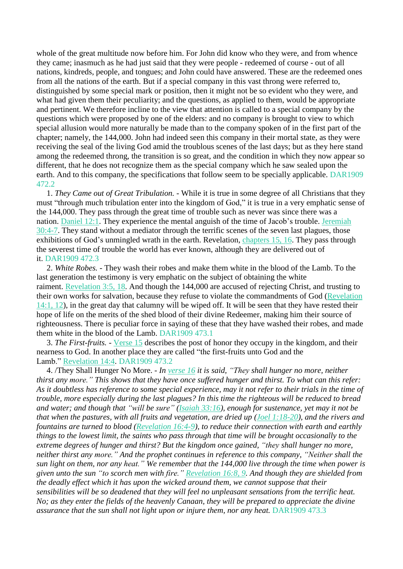whole of the great multitude now before him. For John did know who they were, and from whence they came; inasmuch as he had just said that they were people - redeemed of course - out of all nations, kindreds, people, and tongues; and John could have answered. These are the redeemed ones from all the nations of the earth. But if a special company in this vast throng were referred to, distinguished by some special mark or position, then it might not be so evident who they were, and what had given them their peculiarity; and the questions, as applied to them, would be appropriate and pertinent. We therefore incline to the view that attention is called to a special company by the questions which were proposed by one of the elders: and no company is brought to view to which special allusion would more naturally be made than to the company spoken of in the first part of the chapter; namely, the 144,000. John had indeed seen this company in their mortal state, as they were receiving the seal of the living God amid the troublous scenes of the last days; but as they here stand among the redeemed throng, the transition is so great, and the condition in which they now appear so different, that he does not recognize them as the special company which he saw sealed upon the earth. And to this company, the specifications that follow seem to be specially applicable. DAR1909 472.2

1. *They Came out of Great Tribulation.* - While it is true in some degree of all Christians that they must "through much tribulation enter into the kingdom of God," it is true in a very emphatic sense of the 144,000. They pass through the great time of trouble such as never was since there was a nation. [Daniel](https://m.egwwritings.org/en/book/1965.45056#45056) 12:1. They experience the mental anguish of the time of Jacob's trouble. [Jeremiah](https://m.egwwritings.org/en/book/1965.40144#40144) [30:4-7.](https://m.egwwritings.org/en/book/1965.40144#40144) They stand without a mediator through the terrific scenes of the seven last plagues, those exhibitions of God's unmingled wrath in the earth. Revelation, [chapters](https://m.egwwritings.org/en/book/1965.63145#63145) 15, 16. They pass through the severest time of trouble the world has ever known, although they are delivered out of it. DAR1909 472.3

2. *White Robes.* - They wash their robes and make them white in the blood of the Lamb. To the last generation the testimony is very emphatic on the subject of obtaining the white raiment. [Revelation](https://m.egwwritings.org/en/book/1965.62741#62741) 3:5, 18. And though the 144,000 are accused of rejecting Christ, and trusting to their own works for salvation, because they refuse to violate the commandments of God [\(Revelation](https://m.egwwritings.org/en/book/1965.63104#63104) [14:1,](https://m.egwwritings.org/en/book/1965.63104#63104) 12), in the great day that calumny will be wiped off. It will be seen that they have rested their hope of life on the merits of the shed blood of their divine Redeemer, making him their source of righteousness. There is peculiar force in saying of these that they have washed their robes, and made them white in the blood of the Lamb. DAR1909 473.1

3. *The First-fruits.* - [Verse](https://m.egwwritings.org/en/book/1965.62893#62893) 15 describes the post of honor they occupy in the kingdom, and their nearness to God. In another place they are called "the first-fruits unto God and the Lamb." [Revelation](https://m.egwwritings.org/en/book/1965.63110#63110) 14:4. DAR1909 473.2

4. /They Shall Hunger No More. *- In [verse](https://m.egwwritings.org/en/book/1965.62895#62895) 16 it is said, "They shall hunger no more, neither* thirst any more." This shows that they have once suffered hunger and thirst. To what can this refer: As it doubtless has reference to some special experience, may it not refer to their trials in the time of *trouble, more especially during the last plagues? In this time the righteous will be reduced to bread and water; and though that "will be sure" [\(Isaiah](https://m.egwwritings.org/en/book/1965.37328#37328) 33:16), enough for sustenance, yet may it not be* that when the pastures, with all fruits and vegetation, are dried up (Joel [1:18-20\)](https://m.egwwritings.org/en/book/1965.45527#45527), and the rivers and *fountains are turned to blood [\(Revelation](https://m.egwwritings.org/en/book/1965.63168#63168) 16:4-9), to reduce their connection with earth and earthly* things to the lowest limit, the saints who pass through that time will be brought occasionally to the *extreme degrees of hunger and thirst? But the kingdom once gained, "they shall hunger no more, neither thirst any more." And the prophet continues in reference to this company, "Neither shall the* sun light on them, nor any heat." We remember that the 144,000 live through the time when power is given unto the sun "to scorch men with fire." [Revelation](https://m.egwwritings.org/en/book/1965.63176#63176) 16:8, 9. And though they are shielded from *the deadly effect which it has upon the wicked around them, we cannot suppose that their sensibilities will be so deadened that they will feel no unpleasant sensations from the terrific heat.* No; as they enter the fields of the heavenly Canaan, they will be prepared to appreciate the divine *assurance that the sun shall not light upon or injure them, nor any heat.* DAR1909 473.3